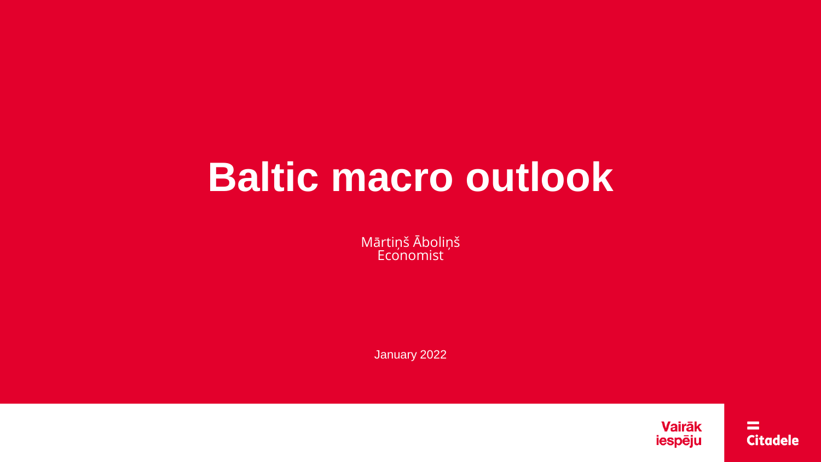# **Baltic macro outlook**

Mārtiņš Āboliņš **Economist** 

January 2022

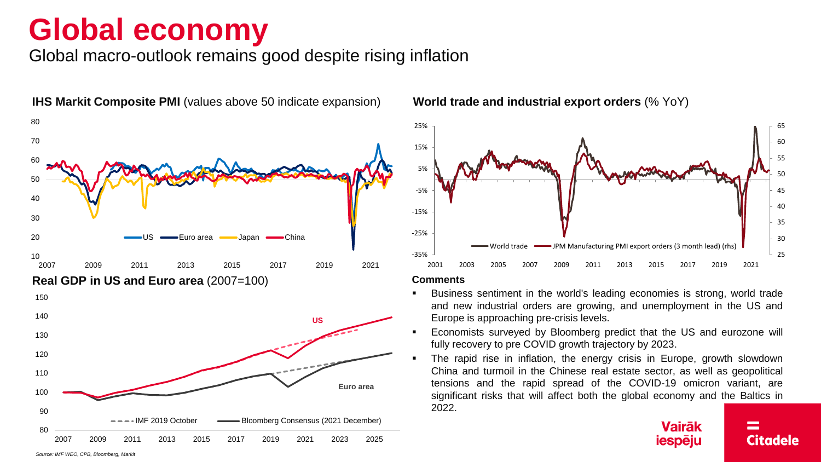## **Global economy**

Global macro-outlook remains good despite rising inflation





#### **Comments**

- Business sentiment in the world's leading economies is strong, world trade and new industrial orders are growing, and unemployment in the US and Europe is approaching pre-crisis levels.
- Economists surveyed by Bloomberg predict that the US and eurozone will fully recovery to pre COVID growth trajectory by 2023.
- The rapid rise in inflation, the energy crisis in Europe, growth slowdown China and turmoil in the Chinese real estate sector, as well as geopolitical tensions and the rapid spread of the COVID-19 omicron variant, are significant risks that will affect both the global economy and the Baltics in 2022.

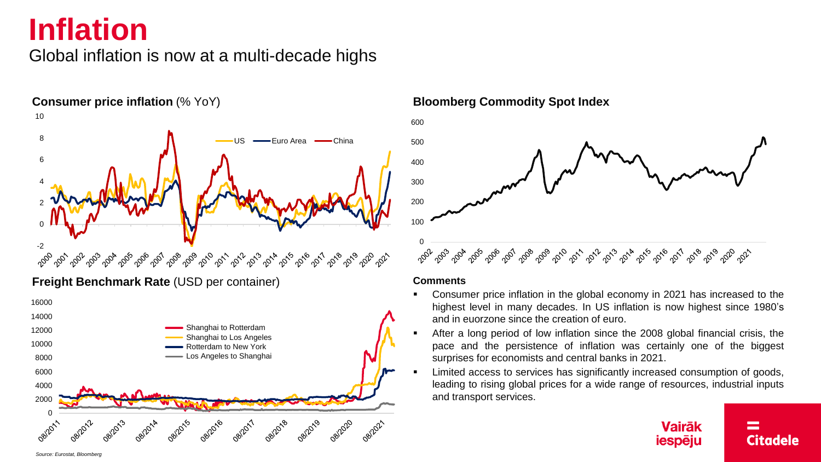# **Inflation**

### Global inflation is now at a multi-decade highs



**Freight Benchmark Rate** (USD per container)





### **Comments**

- Consumer price inflation in the global economy in 2021 has increased to the highest level in many decades. In US inflation is now highest since 1980's and in euorzone since the creation of euro.
- After a long period of low inflation since the 2008 global financial crisis, the pace and the persistence of inflation was certainly one of the biggest surprises for economists and central banks in 2021.
- Limited access to services has significantly increased consumption of goods, leading to rising global prices for a wide range of resources, industrial inputs and transport services.



*Source: Eurostat, Bloomberg*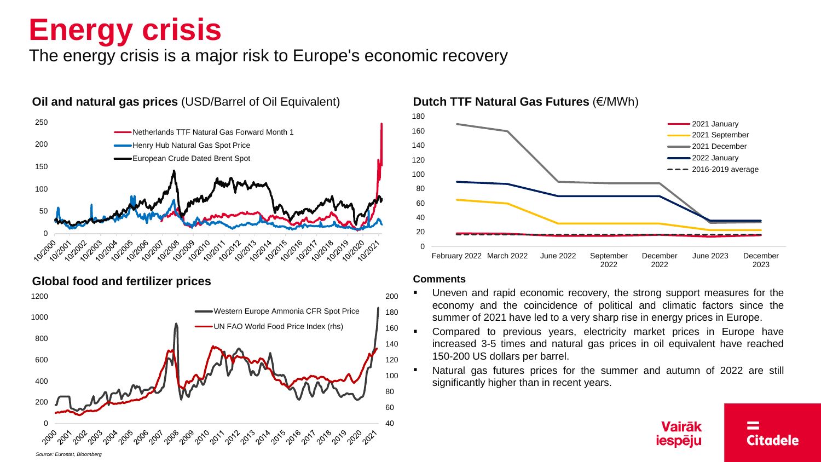# **Energy crisis**

The energy crisis is a major risk to Europe's economic recovery



**Global food and fertilizer prices**





### **Comments**

- Uneven and rapid economic recovery, the strong support measures for the economy and the coincidence of political and climatic factors since the summer of 2021 have led to a very sharp rise in energy prices in Europe.
- Compared to previous years, electricity market prices in Europe have increased 3-5 times and natural gas prices in oil equivalent have reached 150-200 US dollars per barrel.
- Natural gas futures prices for the summer and autumn of 2022 are still significantly higher than in recent years.

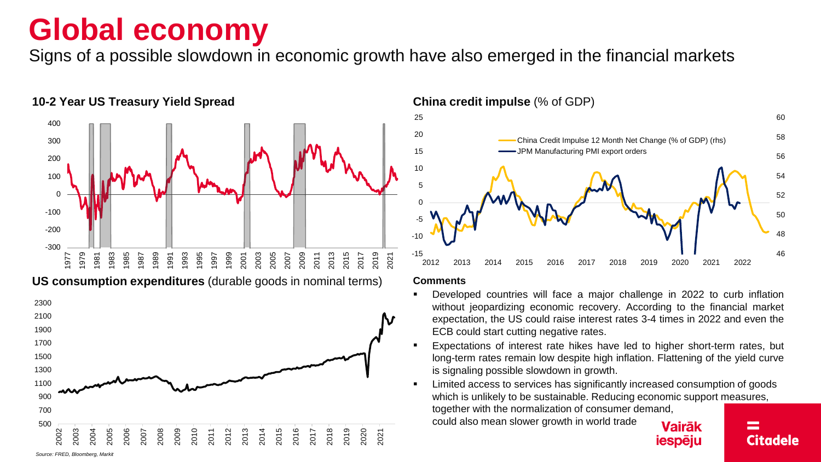## **Global economy**

Signs of a possible slowdown in economic growth have also emerged in the financial markets



**US consumption expenditures** (durable goods in nominal terms)



### **10-2 Year US Treasury Yield Spread China credit impulse** (% of GDP)



#### **Comments**

- Developed countries will face a major challenge in 2022 to curb inflation without jeopardizing economic recovery. According to the financial market expectation, the US could raise interest rates 3-4 times in 2022 and even the ECB could start cutting negative rates.
- Expectations of interest rate hikes have led to higher short-term rates, but long-term rates remain low despite high inflation. Flattening of the yield curve is signaling possible slowdown in growth.
- Limited access to services has significantly increased consumption of goods which is unlikely to be sustainable. Reducing economic support measures, together with the normalization of consumer demand,

could also mean slower growth in world trade

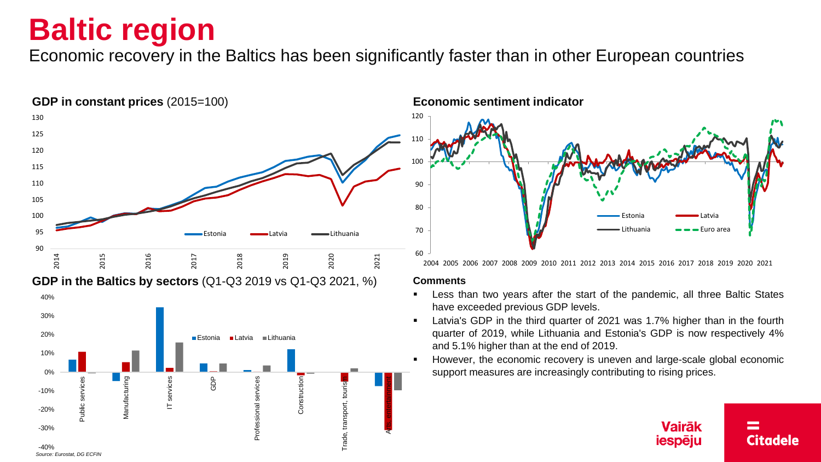## **Baltic region**

Economic recovery in the Baltics has been significantly faster than in other European countries





#### **Comments**

- Less than two years after the start of the pandemic, all three Baltic States have exceeded previous GDP levels.
- Latvia's GDP in the third quarter of 2021 was 1.7% higher than in the fourth quarter of 2019, while Lithuania and Estonia's GDP is now respectively 4% and 5.1% higher than at the end of 2019.
- However, the economic recovery is uneven and large-scale global economic support measures are increasingly contributing to rising prices.

#### **Vairāk** iespēju Citadele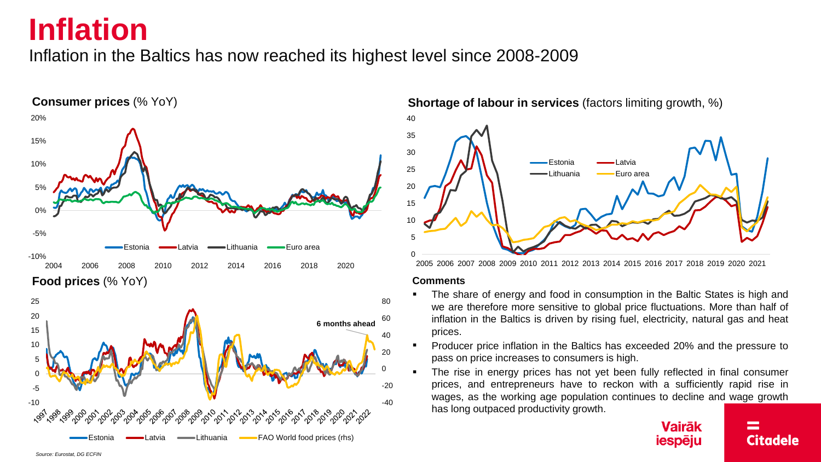### **Inflation**

Inflation in the Baltics has now reached its highest level since 2008-2009





**Shortage of labour in services** (factors limiting growth, %) 40



2005 2006 2007 2008 2009 2010 2011 2012 2013 2014 2015 2016 2017 2018 2019 2020 2021

#### **Comments**

- The share of energy and food in consumption in the Baltic States is high and we are therefore more sensitive to global price fluctuations. More than half of inflation in the Baltics is driven by rising fuel, electricity, natural gas and heat prices.
- Producer price inflation in the Baltics has exceeded 20% and the pressure to pass on price increases to consumers is high.
- The rise in energy prices has not yet been fully reflected in final consumer prices, and entrepreneurs have to reckon with a sufficiently rapid rise in wages, as the working age population continues to decline and wage growth has long outpaced productivity growth.

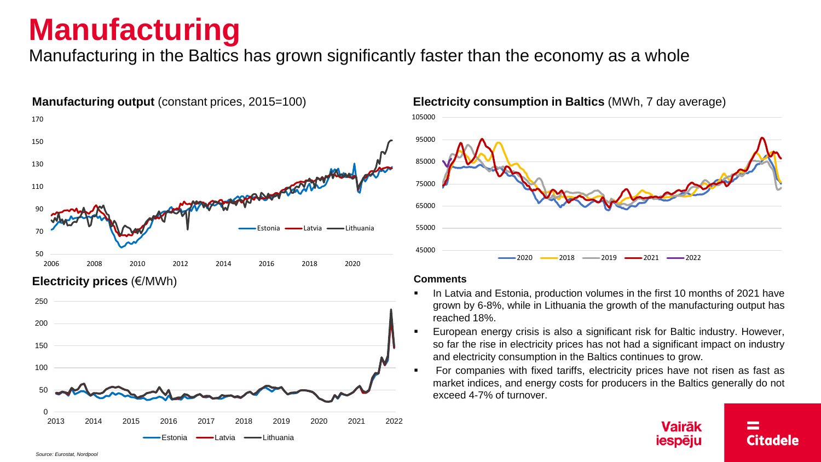# **Manufacturing**

Manufacturing in the Baltics has grown significantly faster than the economy as a whole



### **Electricity prices** (€/MWh)



### **Manufacturing output** (constant prices, 2015=100) **Electricity consumption in Baltics** (MWh, 7 day average)



### **Comments**

- In Latvia and Estonia, production volumes in the first 10 months of 2021 have grown by 6-8%, while in Lithuania the growth of the manufacturing output has reached 18%.
- European energy crisis is also a significant risk for Baltic industry. However, so far the rise in electricity prices has not had a significant impact on industry and electricity consumption in the Baltics continues to grow.
- For companies with fixed tariffs, electricity prices have not risen as fast as market indices, and energy costs for producers in the Baltics generally do not exceed 4-7% of turnover.

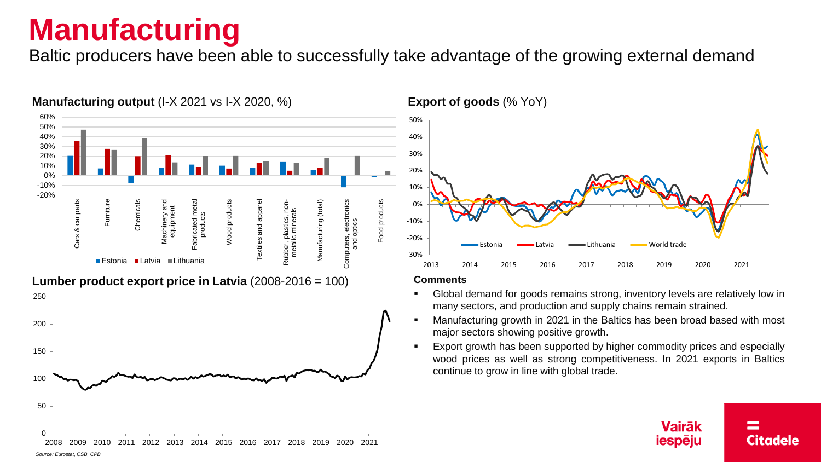# **Manufacturing**

Baltic producers have been able to successfully take advantage of the growing external demand



### **Manufacturing output** (I-X 2021 vs I-X 2020, %)



**Export of goods** (% YoY)



#### **Comments**

- Global demand for goods remains strong, inventory levels are relatively low in many sectors, and production and supply chains remain strained.
- Manufacturing growth in 2021 in the Baltics has been broad based with most major sectors showing positive growth.
- Export growth has been supported by higher commodity prices and especially wood prices as well as strong competitiveness. In 2021 exports in Baltics continue to grow in line with global trade.

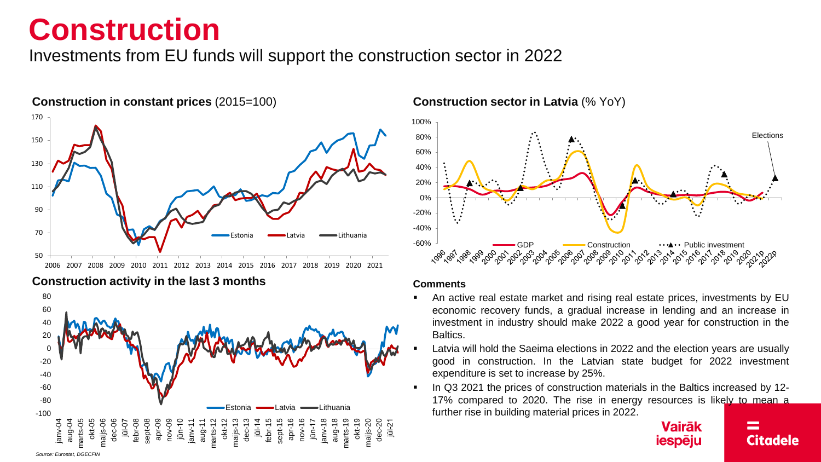### **Construction**

Investments from EU funds will support the construction sector in 2022







### **Construction in constant prices** (2015=100) **Construction sector in Latvia** (% YoY)



#### **Comments**

- An active real estate market and rising real estate prices, investments by EU economic recovery funds, a gradual increase in lending and an increase in investment in industry should make 2022 a good year for construction in the Baltics.
- Latvia will hold the Saeima elections in 2022 and the election years are usually good in construction. In the Latvian state budget for 2022 investment expenditure is set to increase by 25%.
- In Q3 2021 the prices of construction materials in the Baltics increased by 12-17% compared to 2020. The rise in energy resources is likely to mean a further rise in building material prices in 2022.

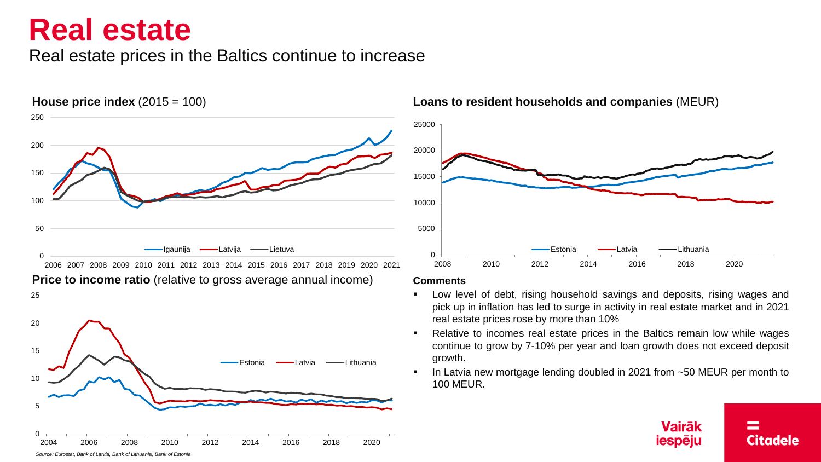### **Real estate**

25

Real estate prices in the Baltics continue to increase

**House price index** (2015 = 100) 0 50 100 150 200 250 2006 2007 2008 2009 2010 2011 2012 2013 2014 2015 2016 2017 2018 2019 2020 2021 Igaunija – Latvija – Lietuva **Danija (k. 1918)**<br>19

**Price to income ratio** (relative to gross average annual income)



**Loans to resident households and companies** (MEUR)



### **Comments**

- Low level of debt, rising household savings and deposits, rising wages and pick up in inflation has led to surge in activity in real estate market and in 2021 real estate prices rose by more than 10%
- Relative to incomes real estate prices in the Baltics remain low while wages continue to grow by 7-10% per year and loan growth does not exceed deposit growth.
- In Latvia new mortgage lending doubled in 2021 from  $~50$  MEUR per month to 100 MEUR.

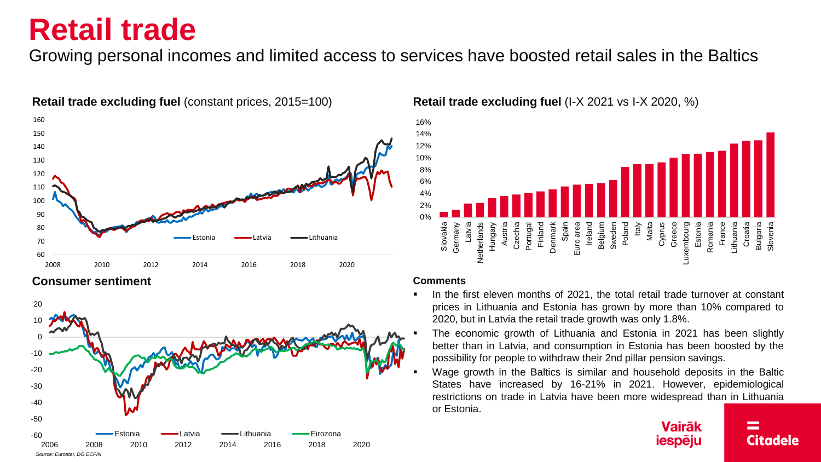### **Retail trade**

Growing personal incomes and limited access to services have boosted retail sales in the Baltics



### **Retail trade excluding fuel** (constant prices, 2015=100) **Retail trade excluding fuel** (I-X 2021 vs I-X 2020, %)





### **Comments**

- In the first eleven months of 2021, the total retail trade turnover at constant prices in Lithuania and Estonia has grown by more than 10% compared to 2020, but in Latvia the retail trade growth was only 1.8%.
- The economic growth of Lithuania and Estonia in 2021 has been slightly better than in Latvia, and consumption in Estonia has been boosted by the possibility for people to withdraw their 2nd pillar pension savings.
- Wage growth in the Baltics is similar and household deposits in the Baltic States have increased by 16-21% in 2021. However, epidemiological restrictions on trade in Latvia have been more widespread than in Lithuania or Estonia.

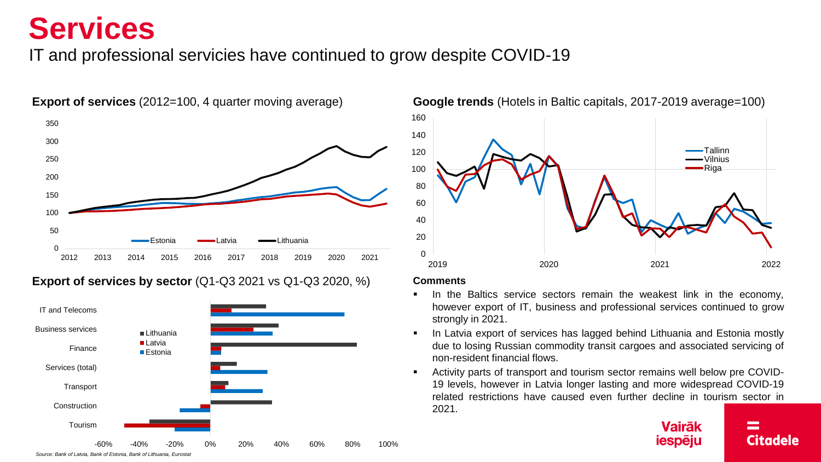## **Services**

### IT and professional servicies have continued to grow despite COVID-19



### **Export of services by sector** (Q1-Q3 2021 vs Q1-Q3 2020, %)





### **Comments**

- In the Baltics service sectors remain the weakest link in the economy, however export of IT, business and professional services continued to grow strongly in 2021.
- In Latvia export of services has lagged behind Lithuania and Estonia mostly due to losing Russian commodity transit cargoes and associated servicing of non-resident financial flows.
- Activity parts of transport and tourism sector remains well below pre COVID-19 levels, however in Latvia longer lasting and more widespread COVID-19 related restrictions have caused even further decline in tourism sector in 2021.

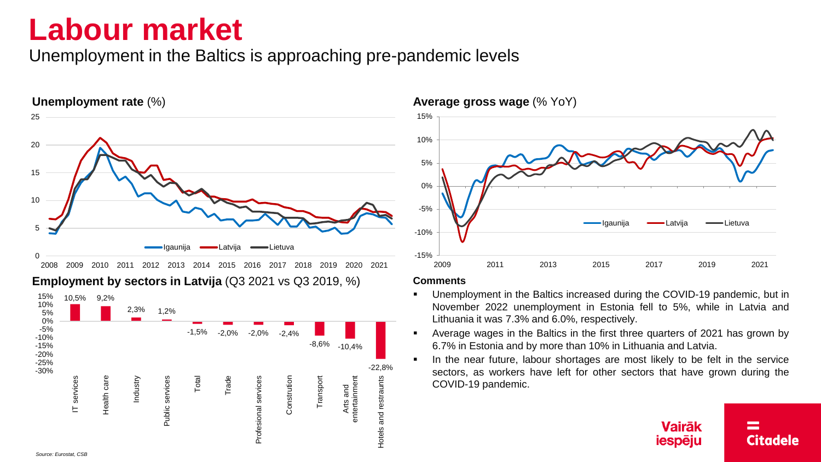### **Labour market**

Unemployment in the Baltics is approaching pre-pandemic levels







#### **Comments**

- Unemployment in the Baltics increased during the COVID-19 pandemic, but in November 2022 unemployment in Estonia fell to 5%, while in Latvia and Lithuania it was 7.3% and 6.0%, respectively.
- Average wages in the Baltics in the first three quarters of 2021 has grown by 6.7% in Estonia and by more than 10% in Lithuania and Latvia.
- In the near future, labour shortages are most likely to be felt in the service sectors, as workers have left for other sectors that have grown during the COVID-19 pandemic.